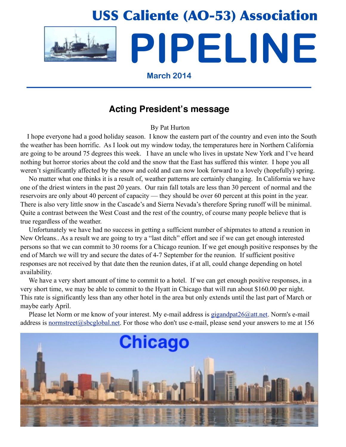

## **Acting President's message**

By Pat Hurton

 I hope everyone had a good holiday season. I know the eastern part of the country and even into the South the weather has been horrific. As I look out my window today, the temperatures here in Northern California are going to be around 75 degrees this week. I have an uncle who lives in upstate New York and I've heard nothing but horror stories about the cold and the snow that the East has suffered this winter. I hope you all weren't significantly affected by the snow and cold and can now look forward to a lovely (hopefully) spring.

 No matter what one thinks it is a result of, weather patterns are certainly changing. In California we have one of the driest winters in the past 20 years. Our rain fall totals are less than 30 percent of normal and the reservoirs are only about 40 percent of capacity — they should be over 60 percent at this point in the year. There is also very little snow in the Cascade's and Sierra Nevada's therefore Spring runoff will be minimal. Quite a contrast between the West Coast and the rest of the country, of course many people believe that is true regardless of the weather.

 Unfortunately we have had no success in getting a sufficient number of shipmates to attend a reunion in New Orleans.. As a result we are going to try a "last ditch" effort and see if we can get enough interested persons so that we can commit to 30 rooms for a Chicago reunion. If we get enough positive responses by the end of March we will try and secure the dates of 4-7 September for the reunion. If sufficient positive responses are not received by that date then the reunion dates, if at all, could change depending on hotel availability.

 We have a very short amount of time to commit to a hotel. If we can get enough positive responses, in a very short time, we may be able to commit to the Hyatt in Chicago that will run about \$160.00 per night. This rate is significantly less than any other hotel in the area but only extends until the last part of March or maybe early April.

Please let Norm or me know of your interest. My e-mail address is [gigandpat26@att.net.](mailto:gigandpat26@att.net) Norm's e-mail address is [normstreet@sbcglobal.net.](mailto:normstreet@sbcglobal.net) For those who don't use e-mail, please send your answers to me at 156

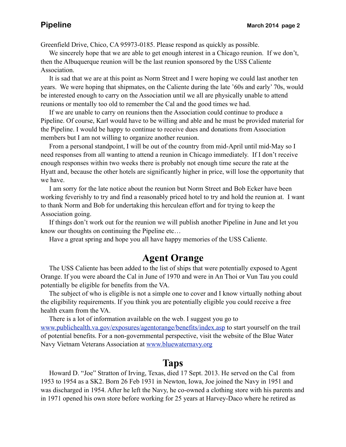Greenfield Drive, Chico, CA 95973-0185. Please respond as quickly as possible.

We sincerely hope that we are able to get enough interest in a Chicago reunion. If we don't, then the Albuquerque reunion will be the last reunion sponsored by the USS Caliente Association.

 It is sad that we are at this point as Norm Street and I were hoping we could last another ten years. We were hoping that shipmates, on the Caliente during the late '60s and early' 70s, would be interested enough to carry on the Association until we all are physically unable to attend reunions or mentally too old to remember the Cal and the good times we had.

 If we are unable to carry on reunions then the Association could continue to produce a Pipeline. Of course, Karl would have to be willing and able and he must be provided material for the Pipeline. I would be happy to continue to receive dues and donations from Association members but I am not willing to organize another reunion.

 From a personal standpoint, I will be out of the country from mid-April until mid-May so I need responses from all wanting to attend a reunion in Chicago immediately. If I don't receive enough responses within two weeks there is probably not enough time secure the rate at the Hyatt and, because the other hotels are significantly higher in price, will lose the opportunity that we have.

 I am sorry for the late notice about the reunion but Norm Street and Bob Ecker have been working feverishly to try and find a reasonably priced hotel to try and hold the reunion at. I want to thank Norm and Bob for undertaking this herculean effort and for trying to keep the Association going.

 If things don't work out for the reunion we will publish another Pipeline in June and let you know our thoughts on continuing the Pipeline etc…

Have a great spring and hope you all have happy memories of the USS Caliente.

## **Agent Orange**

 The USS Caliente has been added to the list of ships that were potentially exposed to Agent Orange. If you were aboard the Cal in June of 1970 and were in An Thoi or Vun Tau you could potentially be eligible for benefits from the VA.

 The subject of who is eligible is not a simple one to cover and I know virtually nothing about the eligibility requirements. If you think you are potentially eligible you could receive a free health exam from the VA.

 There is a lot of information available on the web. I suggest you go to [www.publichealth.va.gov/exposures/agentorange/benefits/index.asp](http://www.publichealth.va.gov/exposures/agentorange/benefits/index.asp) to start yourself on the trail of potential benefits. For a non-governmental perspective, visit the website of the Blue Water Navy Vietnam Veterans Association at [www.bluewaternavy.org](http://www.bluewaternavy.org)

## **Taps**

 Howard D. "Joe" Stratton of Irving, Texas, died 17 Sept. 2013. He served on the Cal from 1953 to 1954 as a SK2. Born 26 Feb 1931 in Newton, Iowa, Joe joined the Navy in 1951 and was discharged in 1954. After he left the Navy, he co-owned a clothing store with his parents and in 1971 opened his own store before working for 25 years at Harvey-Daco where he retired as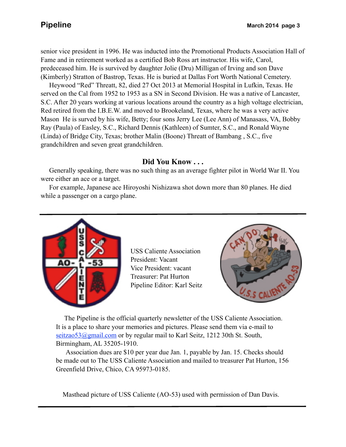senior vice president in 1996. He was inducted into the Promotional Products Association Hall of Fame and in retirement worked as a certified Bob Ross art instructor. His wife, Carol, predeceased him. He is survived by daughter Jolie (Dru) Milligan of Irving and son Dave (Kimberly) Stratton of Bastrop, Texas. He is buried at Dallas Fort Worth National Cemetery.

 S.C. After 20 years working at various locations around the country as a high voltage electrician, Heywood "Red" Threatt, 82, died 27 Oct 2013 at Memorial Hospital in Lufkin, Texas. He served on the Cal from 1952 to 1953 as a SN in Second Division. He was a native of Lancaster, Red retired from the I.B.E.W. and moved to Brookeland, Texas, where he was a very active Mason He is surved by his wife, Betty; four sons Jerry Lee (Lee Ann) of Manasass, VA, Bobby Ray (Paula) of Easley, S.C., Richard Dennis (Kathleen) of Sumter, S.C., and Ronald Wayne (Linda) of Bridge City, Texas; brother Malin (Boone) Threatt of Bambang , S.C., five grandchildren and seven great grandchildren.

## **Did You Know . . .**

 Generally speaking, there was no such thing as an average fighter pilot in World War II. You were either an ace or a target.

 For example, Japanese ace Hiroyoshi Nishizawa shot down more than 80 planes. He died while a passenger on a cargo plane.



USS Caliente Association President: Vacant Vice President: vacant Treasurer: Pat Hurton Pipeline Editor: Karl Seitz



 The Pipeline is the official quarterly newsletter of the USS Caliente Association. It is a place to share your memories and pictures. Please send them via e-mail to seitzao53@gmail.com or by regular mail to Karl Seitz, 1212 30th St. South, Birmingham, AL 35205-1910.

 Association dues are \$10 per year due Jan. 1, payable by Jan. 15. Checks should be made out to The USS Caliente Association and mailed to treasurer Pat Hurton, 156 Greenfield Drive, Chico, CA 95973-0185.

Masthead picture of USS Caliente (AO-53) used with permission of Dan Davis.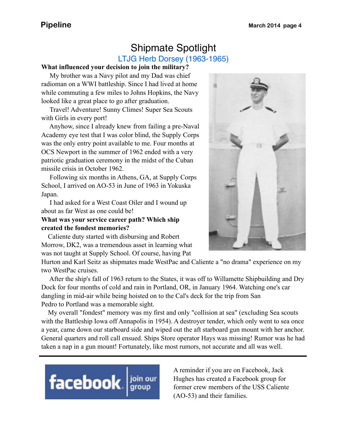## Shipmate Spotlight LTJG Herb Dorsey (1963-1965)

#### **What influenced your decision to join the military?**

 My brother was a Navy pilot and my Dad was chief radioman on a WWI battleship. Since I had lived at home while commuting a few miles to Johns Hopkins, the Navy looked like a great place to go after graduation.

 Travel! Adventure! Sunny Climes! Super Sea Scouts with Girls in every port!

 Anyhow, since I already knew from failing a pre-Naval Academy eye test that I was color blind, the Supply Corps was the only entry point available to me. Four months at OCS Newport in the summer of 1962 ended with a very patriotic graduation ceremony in the midst of the Cuban missile crisis in October 1962.

 Following six months in Athens, GA, at Supply Corps School, I arrived on AO-53 in June of 1963 in Yokuska Japan.

 I had asked for a West Coast Oiler and I wound up about as far West as one could be!

### **What was your service career path? Which ship created the fondest memories?**

 Caliente duty started with disbursing and Robert Morrow, DK2, was a tremendous asset in learning what was not taught at Supply School. Of course, having Pat



Hurton and Karl Seitz as shipmates made WestPac and Caliente a "no drama" experience on my two WestPac cruises.

 After the ship's fall of 1963 return to the States, it was off to Willamette Shipbuilding and Dry Dock for four months of cold and rain in Portland, OR, in January 1964. Watching one's car dangling in mid-air while being hoisted on to the Cal's deck for the trip from San Pedro to Portland was a memorable sight.

 My overall "fondest" memory was my first and only "collision at sea" (excluding Sea scouts with the Battleship Iowa off Annapolis in 1954). A destroyer tender, which only went to sea once a year, came down our starboard side and wiped out the aft starboard gun mount with her anchor. General quarters and roll call ensued. Ships Store operator Hays was missing! Rumor was he had taken a nap in a gun mount! Fortunately, like most rumors, not accurate and all was well.



A reminder if you are on Facebook, Jack Hughes has created a Facebook group for former crew members of the USS Caliente (AO-53) and their families.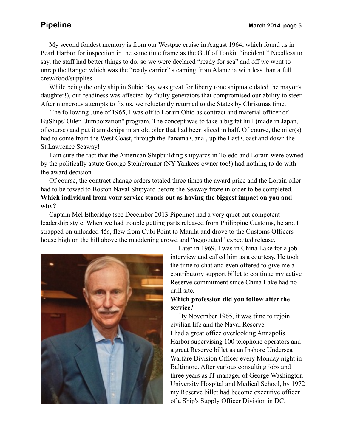My second fondest memory is from our Westpac cruise in August 1964, which found us in Pearl Harbor for inspection in the same time frame as the Gulf of Tonkin "incident." Needless to say, the staff had better things to do; so we were declared "ready for sea" and off we went to unrep the Ranger which was the "ready carrier" steaming from Alameda with less than a full crew/food/supplies.

 While being the only ship in Subic Bay was great for liberty (one shipmate dated the mayor's daughter!), our readiness was affected by faulty generators that compromised our ability to steer. After numerous attempts to fix us, we reluctantly returned to the States by Christmas time.

 The following June of 1965, I was off to Lorain Ohio as contract and material officer of BuShips' Oiler "Jumboization" program. The concept was to take a big fat hull (made in Japan, of course) and put it amidships in an old oiler that had been sliced in half. Of course, the oiler(s) had to come from the West Coast, through the Panama Canal, up the East Coast and down the St.Lawrence Seaway!

 I am sure the fact that the American Shipbuilding shipyards in Toledo and Lorain were owned by the politically astute George Steinbrenner (NY Yankees owner too!) had nothing to do with the award decision.

 Of course, the contract change orders totaled three times the award price and the Lorain oiler had to be towed to Boston Naval Shipyard before the Seaway froze in order to be completed. **Which individual from your service stands out as having the biggest impact on you and why?**

 Captain Mel Etheridge (see December 2013 Pipeline) had a very quiet but competent leadership style. When we had trouble getting parts released from Philippine Customs, he and I strapped on unloaded 45s, flew from Cubi Point to Manila and drove to the Customs Officers house high on the hill above the maddening crowd and "negotiated" expedited release.



 Later in 1969, I was in China Lake for a job interview and called him as a courtesy. He took the time to chat and even offered to give me a contributory support billet to continue my active Reserve commitment since China Lake had no drill site.

### **Which profession did you follow after the service?**

 By November 1965, it was time to rejoin civilian life and the Naval Reserve. I had a great office overlooking Annapolis Harbor supervising 100 telephone operators and a great Reserve billet as an Inshore Undersea Warfare Division Officer every Monday night in Baltimore. After various consulting jobs and three years as IT manager of George Washington University Hospital and Medical School, by 1972 my Reserve billet had become executive officer of a Ship's Supply Officer Division in DC.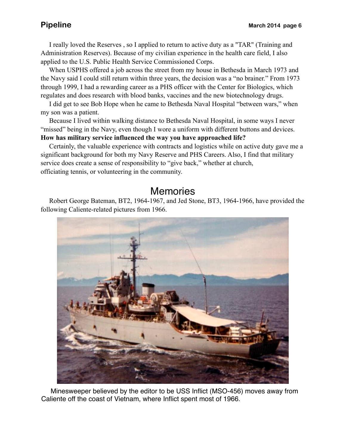I really loved the Reserves , so I applied to return to active duty as a "TAR" (Training and Administration Reserves). Because of my civilian experience in the health care field, I also applied to the U.S. Public Health Service Commissioned Corps.

 When USPHS offered a job across the street from my house in Bethesda in March 1973 and the Navy said I could still return within three years, the decision was a "no brainer." From 1973 through 1999, I had a rewarding career as a PHS officer with the Center for Biologics, which regulates and does research with blood banks, vaccines and the new biotechnology drugs.

 I did get to see Bob Hope when he came to Bethesda Naval Hospital "between wars," when my son was a patient.

 Because I lived within walking distance to Bethesda Naval Hospital, in some ways I never "missed" being in the Navy, even though I wore a uniform with different buttons and devices. **How has military service influenced the way you have approached life?**

 Certainly, the valuable experience with contracts and logistics while on active duty gave me a significant background for both my Navy Reserve and PHS Careers. Also, I find that military service does create a sense of responsibility to "give back," whether at church, officiating tennis, or volunteering in the community.

# **Memories**

 Robert George Bateman, BT2, 1964-1967, and Jed Stone, BT3, 1964-1966, have provided the following Caliente-related pictures from 1966.



 Minesweeper believed by the editor to be USS Inflict (MSO-456) moves away from Caliente off the coast of Vietnam, where Inflict spent most of 1966.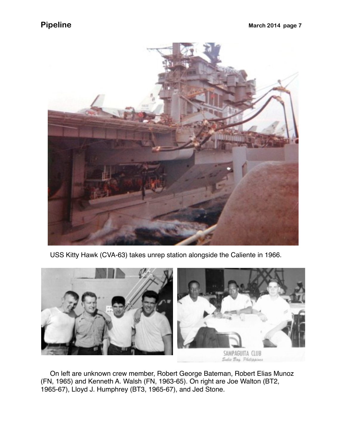

USS Kitty Hawk (CVA-63) takes unrep station alongside the Caliente in 1966.



 On left are unknown crew member, Robert George Bateman, Robert Elias Munoz (FN, 1965) and Kenneth A. Walsh (FN, 1963-65). On right are Joe Walton (BT2, 1965-67), Lloyd J. Humphrey (BT3, 1965-67), and Jed Stone.